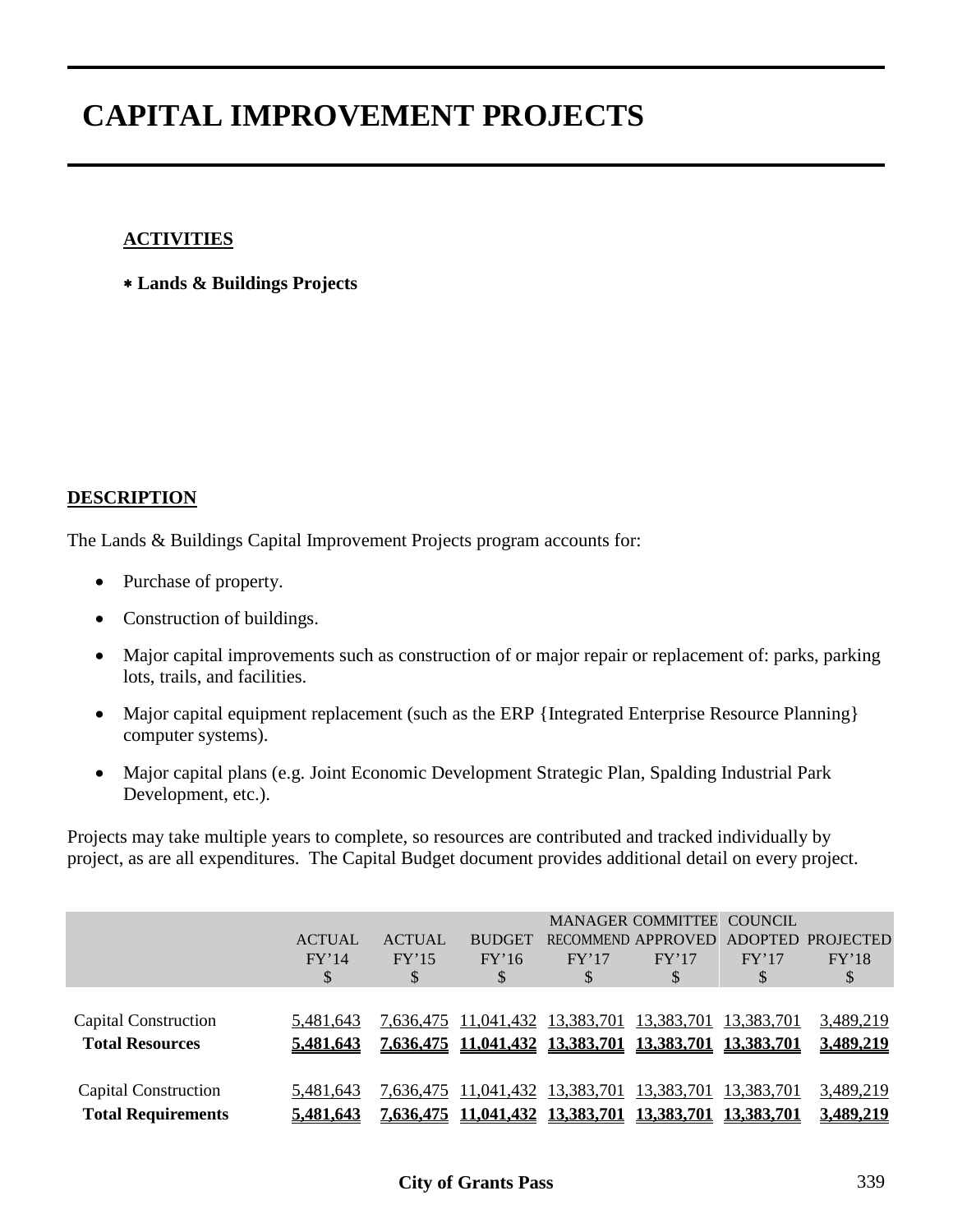#### **ACTIVITIES**

∗ **Lands & Buildings Projects**

#### **DESCRIPTION**

The Lands & Buildings Capital Improvement Projects program accounts for:

- Purchase of property.
- Construction of buildings.
- Major capital improvements such as construction of or major repair or replacement of: parks, parking lots, trails, and facilities.
- Major capital equipment replacement (such as the ERP {Integrated Enterprise Resource Planning} computer systems).
- Major capital plans (e.g. Joint Economic Development Strategic Plan, Spalding Industrial Park Development, etc.).

Projects may take multiple years to complete, so resources are contributed and tracked individually by project, as are all expenditures. The Capital Budget document provides additional detail on every project.

|                                                   | <b>ACTUAL</b><br>FY'14<br>\$  | <b>ACTUAL</b><br>FY'15<br>\$ | <b>BUDGET</b><br>FY'16<br>\$                         | FY'17<br>S                                 | <b>MANAGER COMMITTEE</b><br>RECOMMEND APPROVED<br>FY'17<br>S | <b>COUNCIL</b><br>FY'17<br>\$   | ADOPTED PROJECTED<br>FY'18<br>\$ |
|---------------------------------------------------|-------------------------------|------------------------------|------------------------------------------------------|--------------------------------------------|--------------------------------------------------------------|---------------------------------|----------------------------------|
| Capital Construction<br><b>Total Resources</b>    | 5,481,643<br>5,481,643        |                              |                                                      | 7,636,475 11,041,432 13,383,701 13,383,701 | 7,636,475 11,041,432 13,383,701 13,383,701 13,383,701        | <u>13,383,701</u>               | 3,489,219<br>3,489,219           |
| Capital Construction<br><b>Total Requirements</b> | 5,481,643<br><u>5,481,643</u> | <u>7,636,475</u>             | 7,636,475 11,041,432 13,383,701<br><u>11,041,432</u> | 13,383,701                                 | 13,383,701<br><u>13,383,701</u>                              | 13,383,701<br><u>13,383,701</u> | 3,489,219<br>3,489,219           |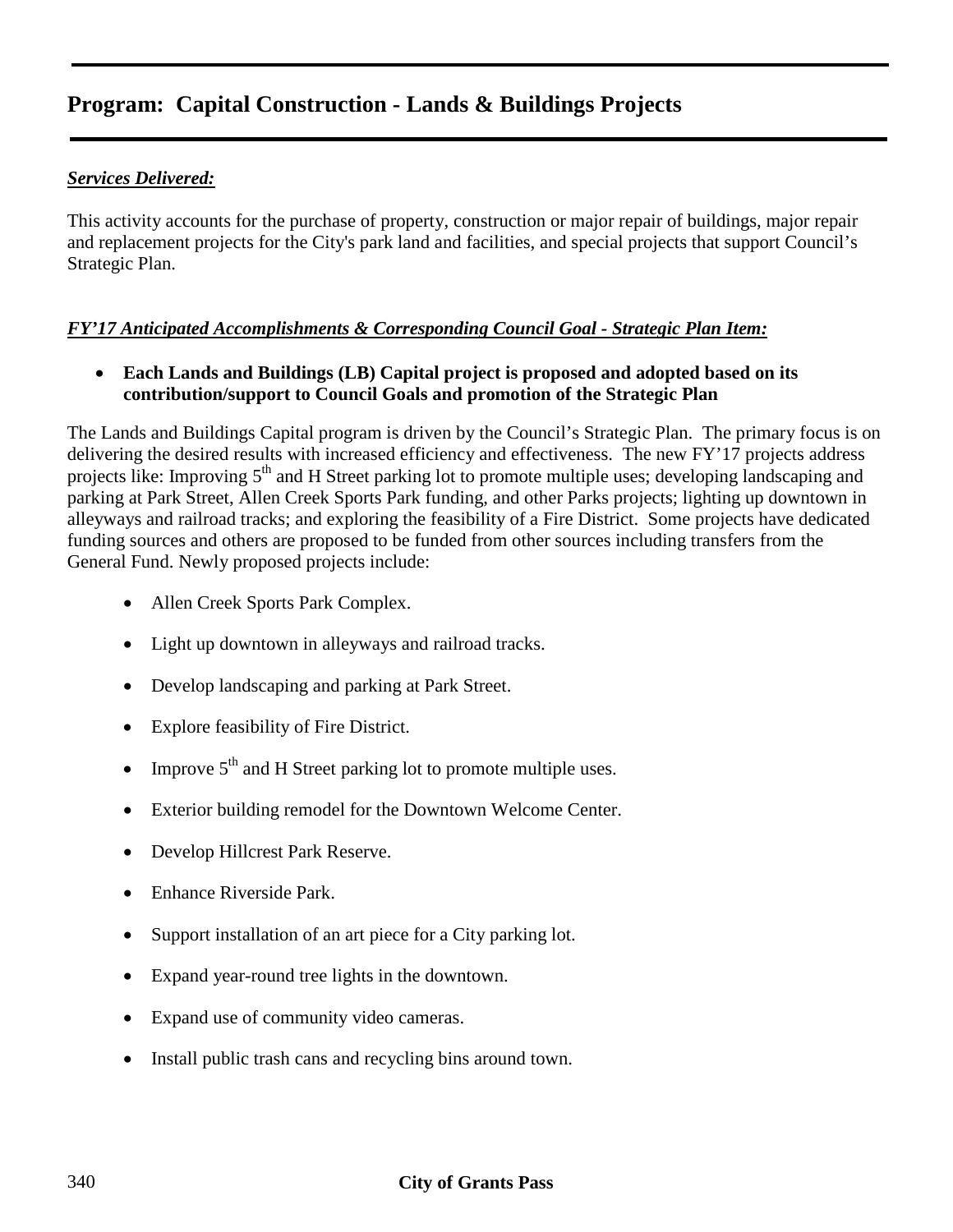#### *Services Delivered:*

This activity accounts for the purchase of property, construction or major repair of buildings, major repair and replacement projects for the City's park land and facilities, and special projects that support Council's Strategic Plan.

#### *FY'17 Anticipated Accomplishments & Corresponding Council Goal - Strategic Plan Item:*

• **Each Lands and Buildings (LB) Capital project is proposed and adopted based on its contribution/support to Council Goals and promotion of the Strategic Plan**

The Lands and Buildings Capital program is driven by the Council's Strategic Plan. The primary focus is on delivering the desired results with increased efficiency and effectiveness. The new FY'17 projects address projects like: Improving 5<sup>th</sup> and H Street parking lot to promote multiple uses; developing landscaping and parking at Park Street, Allen Creek Sports Park funding, and other Parks projects; lighting up downtown in alleyways and railroad tracks; and exploring the feasibility of a Fire District. Some projects have dedicated funding sources and others are proposed to be funded from other sources including transfers from the General Fund. Newly proposed projects include:

- Allen Creek Sports Park Complex.
- Light up downtown in alleyways and railroad tracks.
- Develop landscaping and parking at Park Street.
- Explore feasibility of Fire District.
- Improve 5<sup>th</sup> and H Street parking lot to promote multiple uses.
- Exterior building remodel for the Downtown Welcome Center.
- Develop Hillcrest Park Reserve.
- Enhance Riverside Park.
- Support installation of an art piece for a City parking lot.
- Expand year-round tree lights in the downtown.
- Expand use of community video cameras.
- Install public trash cans and recycling bins around town.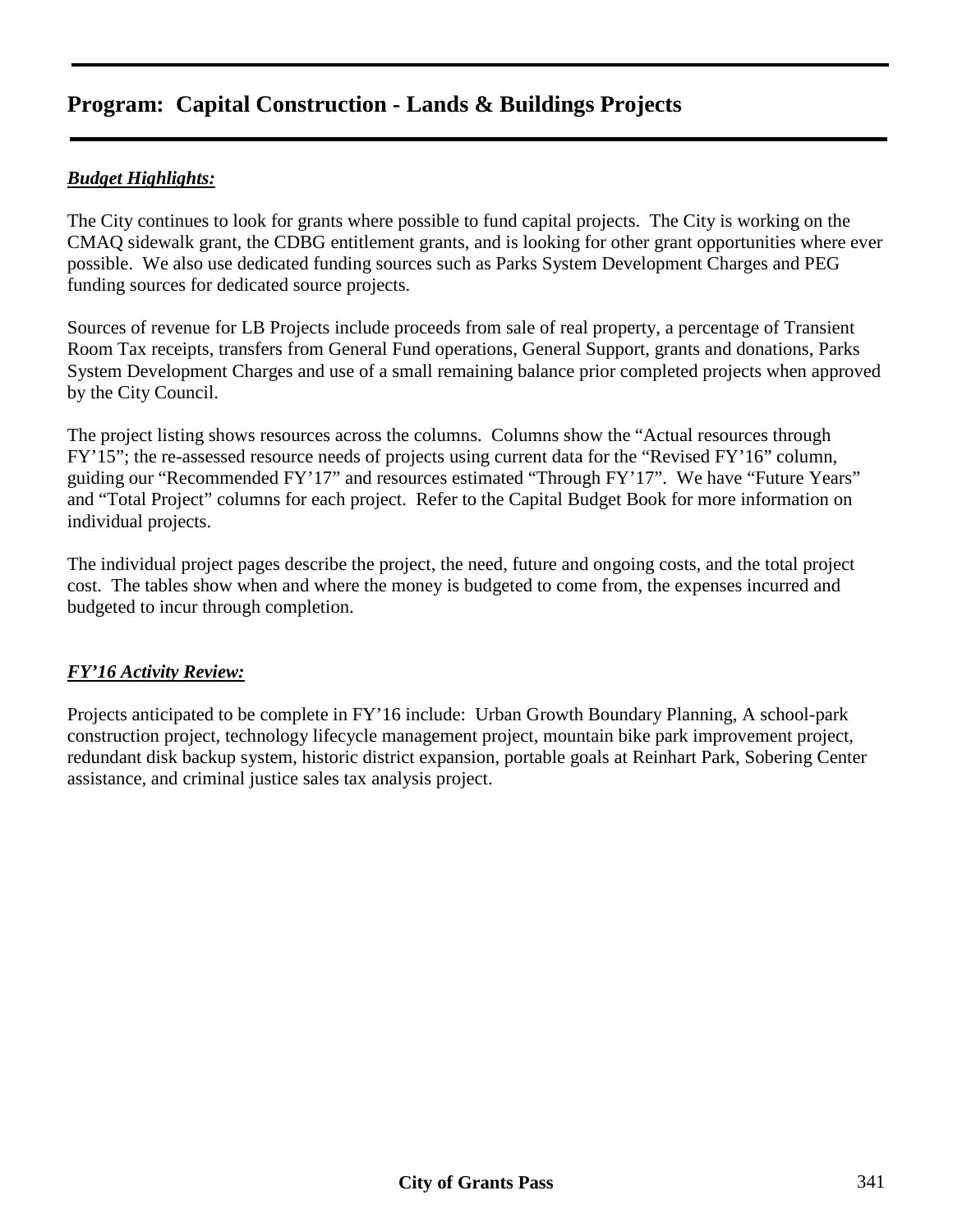#### *Budget Highlights:*

The City continues to look for grants where possible to fund capital projects. The City is working on the CMAQ sidewalk grant, the CDBG entitlement grants, and is looking for other grant opportunities where ever possible. We also use dedicated funding sources such as Parks System Development Charges and PEG funding sources for dedicated source projects.

Sources of revenue for LB Projects include proceeds from sale of real property, a percentage of Transient Room Tax receipts, transfers from General Fund operations, General Support, grants and donations, Parks System Development Charges and use of a small remaining balance prior completed projects when approved by the City Council.

The project listing shows resources across the columns. Columns show the "Actual resources through FY'15"; the re-assessed resource needs of projects using current data for the "Revised FY'16" column, guiding our "Recommended FY'17" and resources estimated "Through FY'17". We have "Future Years" and "Total Project" columns for each project. Refer to the Capital Budget Book for more information on individual projects.

The individual project pages describe the project, the need, future and ongoing costs, and the total project cost. The tables show when and where the money is budgeted to come from, the expenses incurred and budgeted to incur through completion.

#### *FY'16 Activity Review:*

Projects anticipated to be complete in FY'16 include: Urban Growth Boundary Planning, A school-park construction project, technology lifecycle management project, mountain bike park improvement project, redundant disk backup system, historic district expansion, portable goals at Reinhart Park, Sobering Center assistance, and criminal justice sales tax analysis project.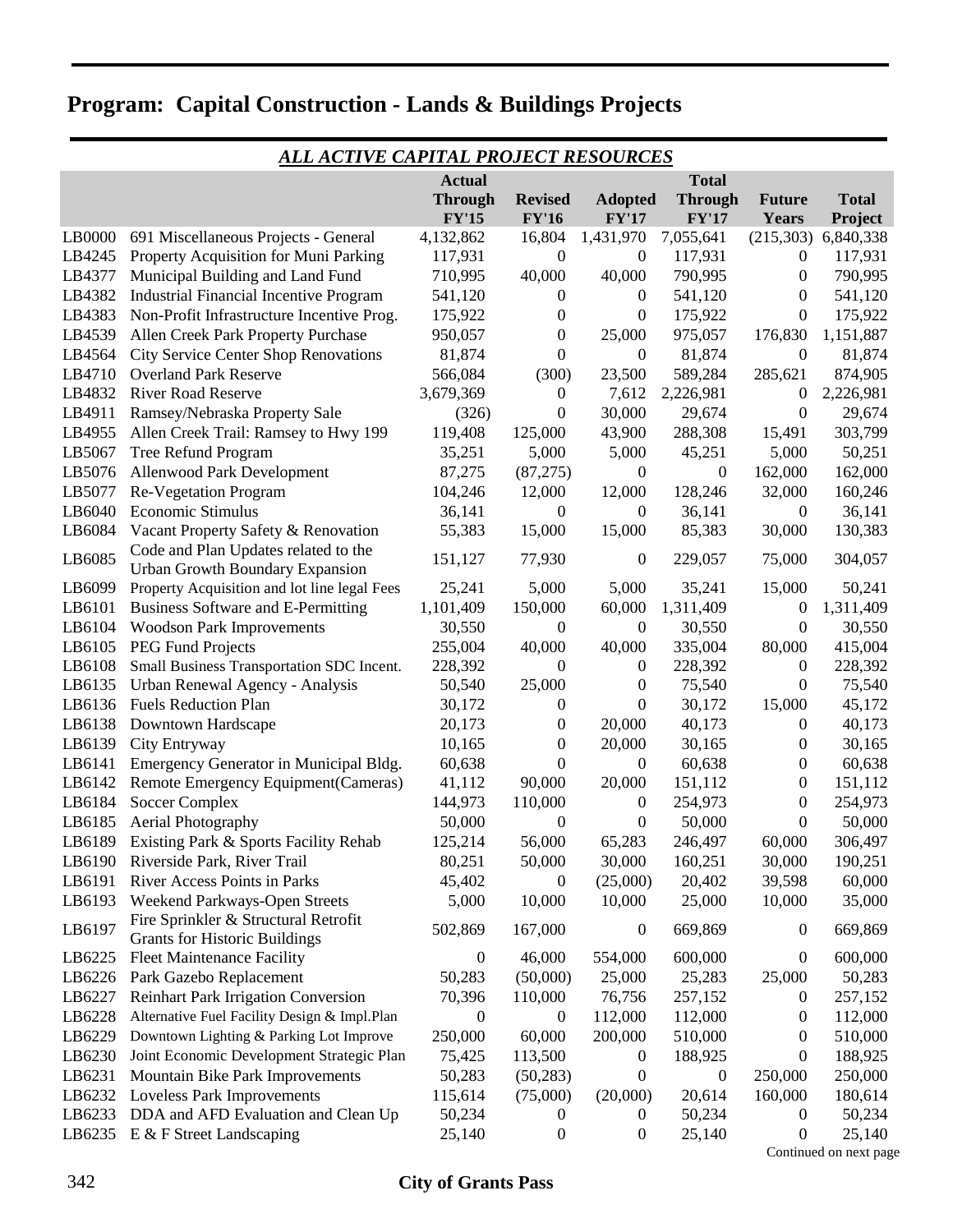|        |                                                                              |                  | ALL AC <u>TIVE CAPITAL PROJECT RESOURCES</u> |                  |                  |                  |              |  |  |  |  |
|--------|------------------------------------------------------------------------------|------------------|----------------------------------------------|------------------|------------------|------------------|--------------|--|--|--|--|
|        | <b>Actual</b><br><b>Total</b>                                                |                  |                                              |                  |                  |                  |              |  |  |  |  |
|        |                                                                              | <b>Through</b>   | <b>Revised</b>                               | <b>Adopted</b>   | <b>Through</b>   | <b>Future</b>    | <b>Total</b> |  |  |  |  |
|        |                                                                              | <b>FY'15</b>     | <b>FY'16</b>                                 | <b>FY'17</b>     | <b>FY'17</b>     | Years            | Project      |  |  |  |  |
| LB0000 | 691 Miscellaneous Projects - General                                         | 4,132,862        | 16,804                                       | 1,431,970        | 7,055,641        | (215,303)        | 6,840,338    |  |  |  |  |
| LB4245 | Property Acquisition for Muni Parking                                        | 117,931          | 0                                            | $\boldsymbol{0}$ | 117,931          | $\boldsymbol{0}$ | 117,931      |  |  |  |  |
| LB4377 | Municipal Building and Land Fund                                             | 710,995          | 40,000                                       | 40,000           | 790,995          | 0                | 790,995      |  |  |  |  |
| LB4382 | <b>Industrial Financial Incentive Program</b>                                | 541,120          | $\boldsymbol{0}$                             | $\boldsymbol{0}$ | 541,120          | $\boldsymbol{0}$ | 541,120      |  |  |  |  |
| LB4383 | Non-Profit Infrastructure Incentive Prog.                                    | 175,922          | $\boldsymbol{0}$                             | 0                | 175,922          | $\boldsymbol{0}$ | 175,922      |  |  |  |  |
| LB4539 | Allen Creek Park Property Purchase                                           | 950,057          | $\boldsymbol{0}$                             | 25,000           | 975,057          | 176,830          | 1,151,887    |  |  |  |  |
| LB4564 | <b>City Service Center Shop Renovations</b>                                  | 81,874           | $\boldsymbol{0}$                             | $\boldsymbol{0}$ | 81,874           | $\boldsymbol{0}$ | 81,874       |  |  |  |  |
| LB4710 | <b>Overland Park Reserve</b>                                                 | 566,084          | (300)                                        | 23,500           | 589,284          | 285,621          | 874,905      |  |  |  |  |
| LB4832 | <b>River Road Reserve</b>                                                    | 3,679,369        | $\boldsymbol{0}$                             | 7,612            | 2,226,981        | 0                | 2,226,981    |  |  |  |  |
| LB4911 | Ramsey/Nebraska Property Sale                                                | (326)            | 0                                            | 30,000           | 29,674           | 0                | 29,674       |  |  |  |  |
| LB4955 | Allen Creek Trail: Ramsey to Hwy 199                                         | 119,408          | 125,000                                      | 43,900           | 288,308          | 15,491           | 303,799      |  |  |  |  |
| LB5067 | Tree Refund Program                                                          | 35,251           | 5,000                                        | 5,000            | 45,251           | 5,000            | 50,251       |  |  |  |  |
| LB5076 | Allenwood Park Development                                                   | 87,275           | (87,275)                                     | $\boldsymbol{0}$ | $\mathbf{0}$     | 162,000          | 162,000      |  |  |  |  |
| LB5077 | Re-Vegetation Program                                                        | 104,246          | 12,000                                       | 12,000           | 128,246          | 32,000           | 160,246      |  |  |  |  |
| LB6040 | Economic Stimulus                                                            | 36,141           | $\boldsymbol{0}$                             | $\boldsymbol{0}$ | 36,141           | $\boldsymbol{0}$ | 36,141       |  |  |  |  |
| LB6084 | Vacant Property Safety & Renovation                                          | 55,383           | 15,000                                       | 15,000           | 85,383           | 30,000           | 130,383      |  |  |  |  |
| LB6085 | Code and Plan Updates related to the<br>Urban Growth Boundary Expansion      | 151,127          | 77,930                                       | $\boldsymbol{0}$ | 229,057          | 75,000           | 304,057      |  |  |  |  |
| LB6099 | Property Acquisition and lot line legal Fees                                 | 25,241           | 5,000                                        | 5,000            | 35,241           | 15,000           | 50,241       |  |  |  |  |
| LB6101 | Business Software and E-Permitting                                           | 1,101,409        | 150,000                                      | 60,000           | 1,311,409        | 0                | 1,311,409    |  |  |  |  |
| LB6104 | <b>Woodson Park Improvements</b>                                             | 30,550           | 0                                            | 0                | 30,550           | 0                | 30,550       |  |  |  |  |
| LB6105 | PEG Fund Projects                                                            | 255,004          | 40,000                                       | 40,000           | 335,004          | 80,000           | 415,004      |  |  |  |  |
| LB6108 | Small Business Transportation SDC Incent.                                    | 228,392          | 0                                            | 0                | 228,392          | 0                | 228,392      |  |  |  |  |
| LB6135 | Urban Renewal Agency - Analysis                                              | 50,540           | 25,000                                       | 0                | 75,540           | 0                | 75,540       |  |  |  |  |
| LB6136 | <b>Fuels Reduction Plan</b>                                                  | 30,172           | $\boldsymbol{0}$                             | 0                | 30,172           | 15,000           | 45,172       |  |  |  |  |
| LB6138 | Downtown Hardscape                                                           | 20,173           | $\boldsymbol{0}$                             | 20,000           | 40,173           | 0                | 40,173       |  |  |  |  |
| LB6139 | City Entryway                                                                | 10,165           | $\boldsymbol{0}$                             | 20,000           | 30,165           | 0                | 30,165       |  |  |  |  |
| LB6141 | Emergency Generator in Municipal Bldg.                                       | 60,638           | 0                                            | $\boldsymbol{0}$ | 60,638           | 0                | 60,638       |  |  |  |  |
| LB6142 | Remote Emergency Equipment(Cameras)                                          | 41,112           | 90,000                                       | 20,000           | 151,112          | $\boldsymbol{0}$ | 151,112      |  |  |  |  |
| LB6184 | <b>Soccer Complex</b>                                                        | 144,973          | 110,000                                      | $\boldsymbol{0}$ | 254,973          | $\boldsymbol{0}$ | 254,973      |  |  |  |  |
| LB6185 | Aerial Photography                                                           | 50,000           | 0                                            | 0                | 50,000           | 0                | 50,000       |  |  |  |  |
| LB6189 | Existing Park & Sports Facility Rehab                                        | 125,214          | 56,000                                       | 65,283           | 246,497          | 60,000           | 306,497      |  |  |  |  |
| LB6190 | Riverside Park, River Trail                                                  | 80,251           | 50,000                                       | 30,000           | 160,251          | 30,000           | 190,251      |  |  |  |  |
| LB6191 | River Access Points in Parks                                                 | 45,402           | 0                                            | (25,000)         | 20,402           | 39,598           | 60,000       |  |  |  |  |
| LB6193 | Weekend Parkways-Open Streets                                                | 5,000            | 10,000                                       | 10,000           | 25,000           | 10,000           | 35,000       |  |  |  |  |
| LB6197 | Fire Sprinkler & Structural Retrofit<br><b>Grants for Historic Buildings</b> | 502,869          | 167,000                                      | $\boldsymbol{0}$ | 669,869          | $\boldsymbol{0}$ | 669,869      |  |  |  |  |
| LB6225 | <b>Fleet Maintenance Facility</b>                                            | 0                | 46,000                                       | 554,000          | 600,000          | $\overline{0}$   | 600,000      |  |  |  |  |
| LB6226 | Park Gazebo Replacement                                                      | 50,283           | (50,000)                                     | 25,000           | 25,283           | 25,000           | 50,283       |  |  |  |  |
| LB6227 | <b>Reinhart Park Irrigation Conversion</b>                                   | 70,396           | 110,000                                      | 76,756           | 257,152          | $\boldsymbol{0}$ | 257,152      |  |  |  |  |
| LB6228 | Alternative Fuel Facility Design & Impl.Plan                                 | $\boldsymbol{0}$ | $\boldsymbol{0}$                             | 112,000          | 112,000          | $\boldsymbol{0}$ | 112,000      |  |  |  |  |
| LB6229 | Downtown Lighting & Parking Lot Improve                                      | 250,000          | 60,000                                       | 200,000          | 510,000          | $\boldsymbol{0}$ | 510,000      |  |  |  |  |
| LB6230 | Joint Economic Development Strategic Plan                                    | 75,425           | 113,500                                      | $\boldsymbol{0}$ | 188,925          | 0                | 188,925      |  |  |  |  |
| LB6231 | Mountain Bike Park Improvements                                              | 50,283           | (50, 283)                                    | 0                | $\boldsymbol{0}$ | 250,000          | 250,000      |  |  |  |  |
| LB6232 | Loveless Park Improvements                                                   | 115,614          | (75,000)                                     | (20,000)         | 20,614           | 160,000          | 180,614      |  |  |  |  |
| LB6233 | DDA and AFD Evaluation and Clean Up                                          | 50,234           | $\boldsymbol{0}$                             | $\boldsymbol{0}$ | 50,234           | $\boldsymbol{0}$ | 50,234       |  |  |  |  |
| LB6235 | E & F Street Landscaping                                                     | 25,140           | 0                                            | $\boldsymbol{0}$ | 25,140           | $\boldsymbol{0}$ | 25,140       |  |  |  |  |

Continued on next page

#### 342 **City of Grants Pass**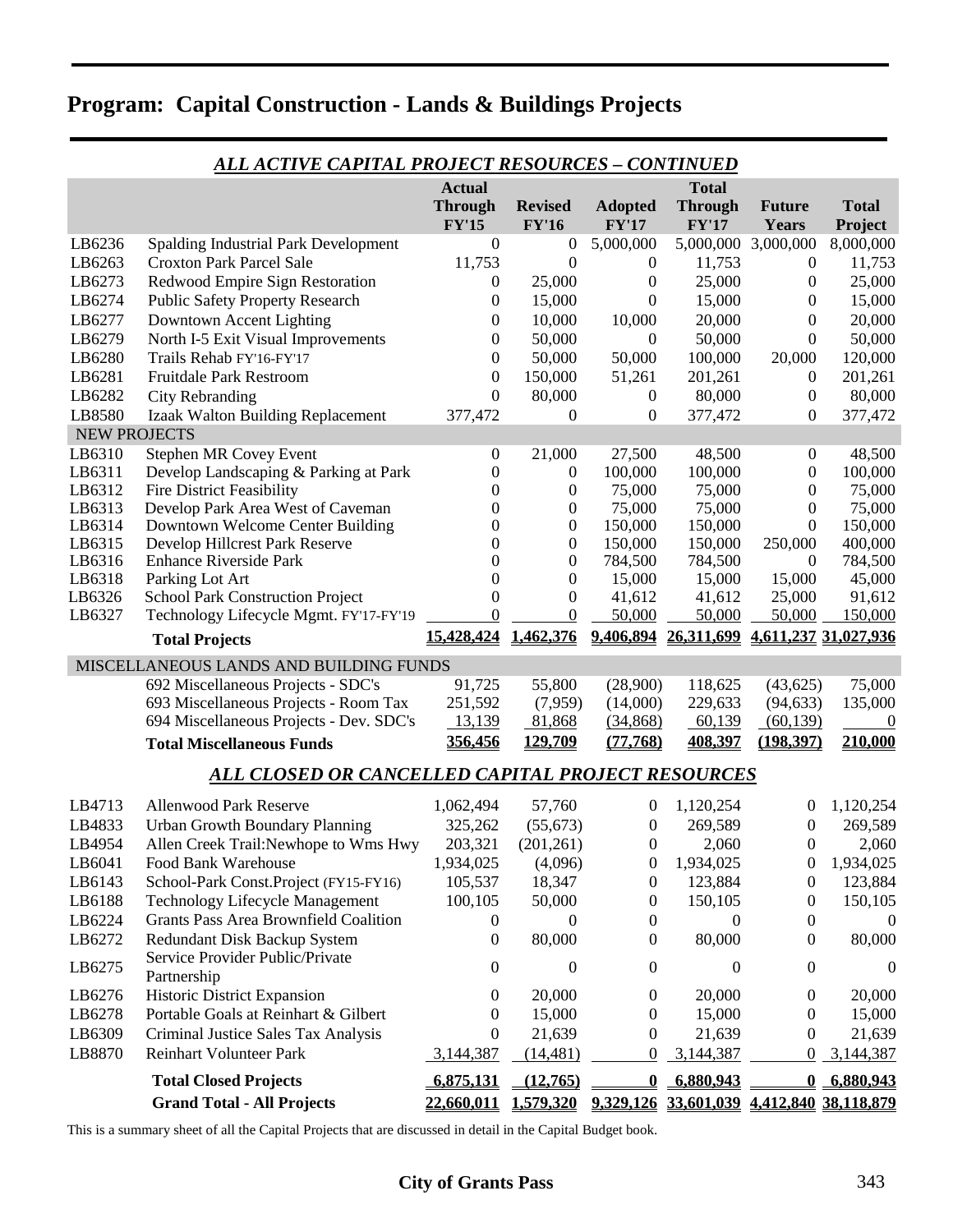| <b>ALL ACTIVE CAPITAL PROJECT RESOURCES - CONTINUED</b> |                                                                 |                  |                                      |                         |                                                     |                           |                      |
|---------------------------------------------------------|-----------------------------------------------------------------|------------------|--------------------------------------|-------------------------|-----------------------------------------------------|---------------------------|----------------------|
|                                                         |                                                                 | <b>Actual</b>    |                                      |                         | <b>Total</b>                                        |                           |                      |
|                                                         |                                                                 | <b>Through</b>   | <b>Revised</b>                       | <b>Adopted</b>          | <b>Through</b>                                      | <b>Future</b>             | <b>Total</b>         |
|                                                         |                                                                 | <b>FY'15</b>     | <b>FY'16</b>                         | <b>FY'17</b>            | <b>FY'17</b>                                        | <b>Years</b>              | Project              |
| LB6236                                                  | <b>Spalding Industrial Park Development</b>                     | $\boldsymbol{0}$ | 0                                    | 5,000,000               |                                                     | 5,000,000 3,000,000       | 8,000,000            |
| LB6263                                                  | <b>Croxton Park Parcel Sale</b>                                 | 11,753           | $\boldsymbol{0}$                     | $\boldsymbol{0}$        | 11,753                                              | $\boldsymbol{0}$          | 11,753               |
| LB6273                                                  | Redwood Empire Sign Restoration                                 | $\boldsymbol{0}$ | 25,000                               | $\boldsymbol{0}$        | 25,000                                              | $\overline{0}$            | 25,000               |
| LB6274                                                  | <b>Public Safety Property Research</b>                          | 0                | 15,000                               | $\theta$                | 15,000                                              | 0                         | 15,000               |
| LB6277                                                  | Downtown Accent Lighting                                        | $\Omega$         | 10,000                               | 10,000                  | 20,000                                              | 0                         | 20,000               |
| LB6279                                                  | North I-5 Exit Visual Improvements                              | 0                | 50,000                               | $\boldsymbol{0}$        | 50,000                                              | $\overline{0}$            | 50,000               |
| LB6280                                                  | Trails Rehab FY'16-FY'17                                        | 0                | 50,000                               | 50,000                  | 100,000                                             | 20,000                    | 120,000              |
| LB6281                                                  | <b>Fruitdale Park Restroom</b>                                  | $\boldsymbol{0}$ | 150,000                              | 51,261                  | 201,261                                             | $\overline{0}$            | 201,261              |
| LB6282                                                  | <b>City Rebranding</b>                                          | $\boldsymbol{0}$ | 80,000                               | $\boldsymbol{0}$        | 80,000                                              | $\boldsymbol{0}$          | 80,000               |
| LB8580                                                  | Izaak Walton Building Replacement                               | 377,472          | 0                                    | $\boldsymbol{0}$        | 377,472                                             | $\theta$                  | 377,472              |
| <b>NEW PROJECTS</b>                                     |                                                                 |                  |                                      |                         |                                                     |                           |                      |
| LB6310                                                  | Stephen MR Covey Event                                          | $\overline{0}$   | 21,000                               | 27,500                  | 48,500                                              | $\boldsymbol{0}$          | 48,500               |
| LB6311                                                  | Develop Landscaping & Parking at Park                           | 0                | $\mathbf{0}$                         | 100,000                 | 100,000                                             | $\overline{0}$            | 100,000              |
| LB6312                                                  | <b>Fire District Feasibility</b>                                | 0                | 0                                    | 75,000                  | 75,000                                              | $\overline{0}$            | 75,000               |
| LB6313                                                  | Develop Park Area West of Caveman                               | $\Omega$         | 0                                    | 75,000                  | 75,000                                              | $\theta$                  | 75,000               |
| LB6314                                                  | Downtown Welcome Center Building                                | $\Omega$         | $\boldsymbol{0}$                     | 150,000                 | 150,000                                             | $\theta$                  | 150,000              |
| LB6315<br>LB6316                                        | Develop Hillcrest Park Reserve<br><b>Enhance Riverside Park</b> | $\Omega$<br>0    | $\boldsymbol{0}$<br>$\boldsymbol{0}$ | 150,000<br>784,500      | 150,000<br>784,500                                  | 250,000<br>$\overline{0}$ | 400,000              |
| LB6318                                                  | Parking Lot Art                                                 | 0                | $\boldsymbol{0}$                     | 15,000                  | 15,000                                              | 15,000                    | 784,500<br>45,000    |
| LB6326                                                  | <b>School Park Construction Project</b>                         | $\boldsymbol{0}$ | $\boldsymbol{0}$                     | 41,612                  | 41,612                                              | 25,000                    | 91,612               |
| LB6327                                                  | Technology Lifecycle Mgmt. FY'17-FY'19                          | $\theta$         | $\boldsymbol{0}$                     | 50,000                  | 50,000                                              | 50,000                    | 150,000              |
|                                                         |                                                                 | 15,428,424       | 1,462,376                            | 9,406,894               | 26,311,699                                          |                           | 4,611,237 31,027,936 |
|                                                         | <b>Total Projects</b>                                           |                  |                                      |                         |                                                     |                           |                      |
|                                                         | MISCELLANEOUS LANDS AND BUILDING FUNDS                          |                  |                                      |                         |                                                     |                           |                      |
|                                                         | 692 Miscellaneous Projects - SDC's                              | 91,725           | 55,800                               | (28,900)                | 118,625                                             | (43, 625)                 | 75,000               |
|                                                         | 693 Miscellaneous Projects - Room Tax                           | 251,592          | (7,959)                              | (14,000)                | 229,633                                             | (94, 633)                 | 135,000              |
|                                                         | 694 Miscellaneous Projects - Dev. SDC's                         | 13,139           | 81,868                               | (34,868)                | 60,139                                              | (60, 139)                 | $\boldsymbol{0}$     |
|                                                         | <b>Total Miscellaneous Funds</b>                                | 356,456          | 129,709                              | (77,768)                | 408,397                                             | (198, 397)                | 210,000              |
|                                                         | ALL CLOSED OR CANCELLED CAPITAL PROJECT RESOURCES               |                  |                                      |                         |                                                     |                           |                      |
| LB4713                                                  | <b>Allenwood Park Reserve</b>                                   | 1,062,494        | 57,760                               | $\boldsymbol{0}$        | 1,120,254                                           | $\boldsymbol{0}$          | 1,120,254            |
| LB4833                                                  | <b>Urban Growth Boundary Planning</b>                           | 325,262          | (55, 673)                            | $\boldsymbol{0}$        | 269,589                                             | $\boldsymbol{0}$          | 269,589              |
| LB4954                                                  | Allen Creek Trail:Newhope to Wms Hwy                            | 203,321          | (201, 261)                           | $\mathbf{0}$            | 2,060                                               | $\overline{0}$            | 2,060                |
| LB6041                                                  | Food Bank Warehouse                                             | 1,934,025        | (4,096)                              | $\boldsymbol{0}$        | 1,934,025                                           | $\overline{0}$            | 1,934,025            |
| LB6143                                                  | School-Park Const.Project (FY15-FY16)                           | 105,537          | 18,347                               | $\boldsymbol{0}$        | 123,884                                             | $\boldsymbol{0}$          | 123,884              |
| LB6188                                                  | <b>Technology Lifecycle Management</b>                          | 100,105          | 50,000                               | $\boldsymbol{0}$        | 150,105                                             | $\boldsymbol{0}$          | 150,105              |
| LB6224                                                  | <b>Grants Pass Area Brownfield Coalition</b>                    | 0                | $\theta$                             | 0                       | 0                                                   | $\boldsymbol{0}$          | $\overline{0}$       |
| LB6272                                                  | Redundant Disk Backup System                                    | 0                | 80,000                               | 0                       | 80,000                                              | $\theta$                  | 80,000               |
|                                                         | Service Provider Public/Private                                 |                  |                                      |                         |                                                     |                           |                      |
| LB6275                                                  | Partnership                                                     | 0                | $\boldsymbol{0}$                     | $\overline{0}$          | 0                                                   | $\boldsymbol{0}$          | $\overline{0}$       |
| LB6276                                                  | <b>Historic District Expansion</b>                              | 0                | 20,000                               | 0                       | 20,000                                              | $\bf{0}$                  | 20,000               |
| LB6278                                                  | Portable Goals at Reinhart & Gilbert                            | $\bf{0}$         | 15,000                               | 0                       | 15,000                                              | 0                         | 15,000               |
| LB6309                                                  | Criminal Justice Sales Tax Analysis                             | 0                | 21,639                               | 0                       | 21,639                                              | $\theta$                  | 21,639               |
| LB8870                                                  | <b>Reinhart Volunteer Park</b>                                  | 3,144,387        | (14, 481)                            | 0                       | 3,144,387                                           | $\boldsymbol{0}$          | 3,144,387            |
|                                                         | <b>Total Closed Projects</b>                                    | 6,875,131        | (12, 765)                            | $\overline{\mathbf{0}}$ | 6,880,943                                           |                           | 0, 6,880,943         |
|                                                         | <b>Grand Total - All Projects</b>                               | 22,660,011       |                                      |                         | 1,579,320 9,329,126 33,601,039 4,412,840 38,118,879 |                           |                      |

This is a summary sheet of all the Capital Projects that are discussed in detail in the Capital Budget book.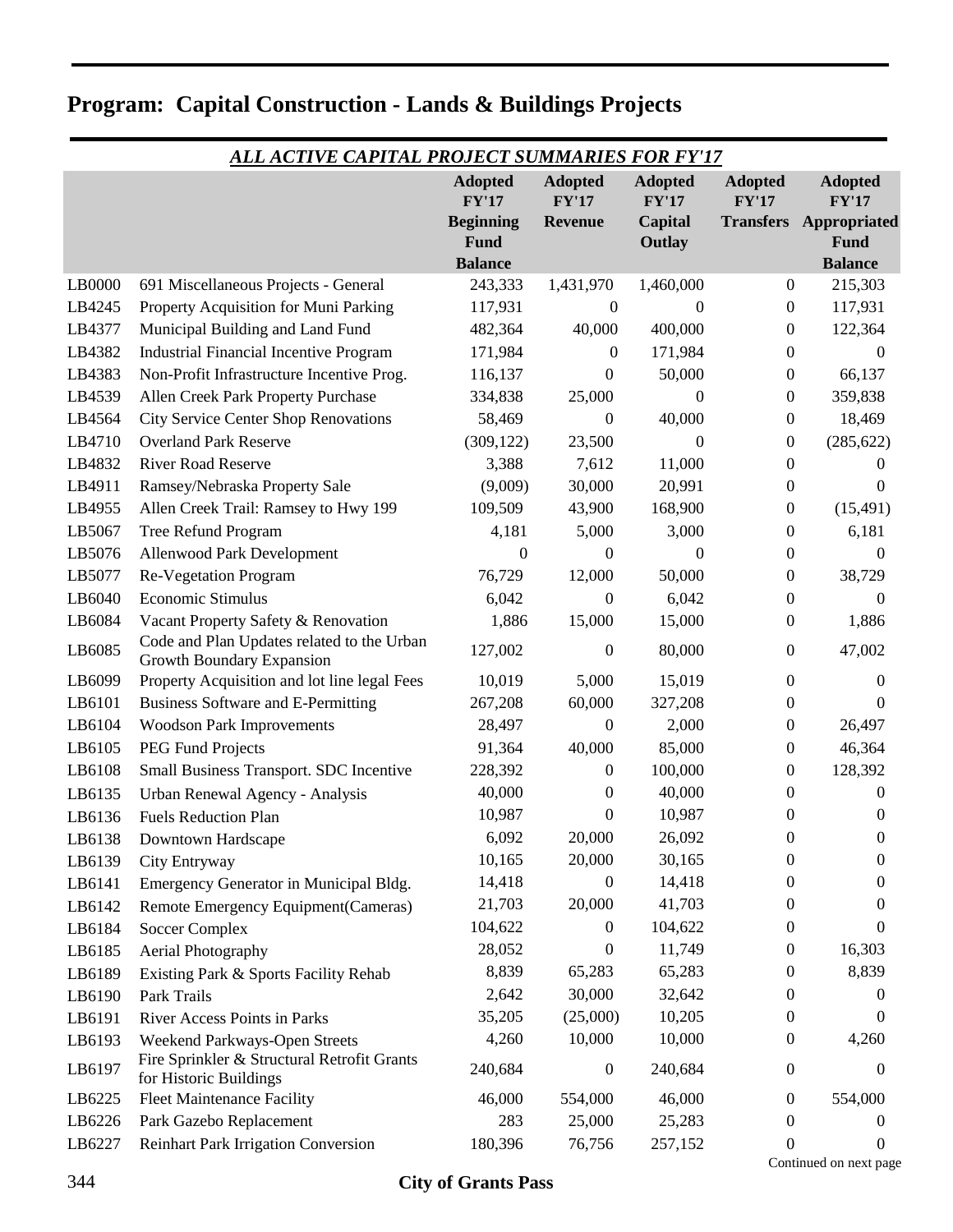| <u>ALL ACTIVE CAPITAL PROJECT SUMMARIES FOR FY'17</u> |                                                                         |                                |                                |                                |                         |                                |  |  |
|-------------------------------------------------------|-------------------------------------------------------------------------|--------------------------------|--------------------------------|--------------------------------|-------------------------|--------------------------------|--|--|
|                                                       |                                                                         | <b>Adopted</b><br><b>FY'17</b> | <b>Adopted</b><br><b>FY'17</b> | <b>Adopted</b><br><b>FY'17</b> | <b>Adopted</b><br>FY'17 | <b>Adopted</b><br><b>FY'17</b> |  |  |
|                                                       |                                                                         | <b>Beginning</b>               | <b>Revenue</b>                 | Capital                        |                         | <b>Transfers Appropriated</b>  |  |  |
|                                                       |                                                                         | <b>Fund</b>                    |                                | Outlay                         |                         | Fund                           |  |  |
|                                                       |                                                                         | <b>Balance</b>                 |                                |                                |                         | <b>Balance</b>                 |  |  |
| LB0000                                                | 691 Miscellaneous Projects - General                                    | 243,333                        | 1,431,970                      | 1,460,000                      | $\boldsymbol{0}$        | 215,303                        |  |  |
| LB4245                                                | Property Acquisition for Muni Parking                                   | 117,931                        | 0                              | $\Omega$                       | $\boldsymbol{0}$        | 117,931                        |  |  |
| LB4377                                                | Municipal Building and Land Fund                                        | 482,364                        | 40,000                         | 400,000                        | $\boldsymbol{0}$        | 122,364                        |  |  |
| LB4382                                                | <b>Industrial Financial Incentive Program</b>                           | 171,984                        | 0                              | 171,984                        | $\theta$                | $\Omega$                       |  |  |
| LB4383                                                | Non-Profit Infrastructure Incentive Prog.                               | 116,137                        | 0                              | 50,000                         | $\boldsymbol{0}$        | 66,137                         |  |  |
| LB4539                                                | Allen Creek Park Property Purchase                                      | 334,838                        | 25,000                         | $\Omega$                       | $\theta$                | 359,838                        |  |  |
| LB4564                                                | <b>City Service Center Shop Renovations</b>                             | 58,469                         | 0                              | 40,000                         | $\mathbf{0}$            | 18,469                         |  |  |
| LB4710                                                | <b>Overland Park Reserve</b>                                            | (309, 122)                     | 23,500                         | $\overline{0}$                 | $\boldsymbol{0}$        | (285, 622)                     |  |  |
| LB4832                                                | <b>River Road Reserve</b>                                               | 3,388                          | 7,612                          | 11,000                         | $\mathbf{0}$            | 0                              |  |  |
| LB4911                                                | Ramsey/Nebraska Property Sale                                           | (9,009)                        | 30,000                         | 20,991                         | $\boldsymbol{0}$        | 0                              |  |  |
| LB4955                                                | Allen Creek Trail: Ramsey to Hwy 199                                    | 109,509                        | 43,900                         | 168,900                        | $\theta$                | (15, 491)                      |  |  |
| LB5067                                                | Tree Refund Program                                                     | 4,181                          | 5,000                          | 3,000                          | $\boldsymbol{0}$        | 6,181                          |  |  |
| LB5076                                                | Allenwood Park Development                                              | $\boldsymbol{0}$               | 0                              | $\Omega$                       | $\boldsymbol{0}$        | $\overline{0}$                 |  |  |
| LB5077                                                | <b>Re-Vegetation Program</b>                                            | 76,729                         | 12,000                         | 50,000                         | $\boldsymbol{0}$        | 38,729                         |  |  |
| LB6040                                                | Economic Stimulus                                                       | 6,042                          | 0                              | 6,042                          | $\boldsymbol{0}$        | 0                              |  |  |
| LB6084                                                | Vacant Property Safety & Renovation                                     | 1,886                          | 15,000                         | 15,000                         | $\overline{0}$          | 1,886                          |  |  |
| LB6085                                                | Code and Plan Updates related to the Urban<br>Growth Boundary Expansion | 127,002                        | 0                              | 80,000                         | $\boldsymbol{0}$        | 47,002                         |  |  |
| LB6099                                                | Property Acquisition and lot line legal Fees                            | 10,019                         | 5,000                          | 15,019                         | $\boldsymbol{0}$        | 0                              |  |  |
| LB6101                                                | Business Software and E-Permitting                                      | 267,208                        | 60,000                         | 327,208                        | $\boldsymbol{0}$        | 0                              |  |  |
| LB6104                                                | <b>Woodson Park Improvements</b>                                        | 28,497                         | 0                              | 2,000                          | $\overline{0}$          | 26,497                         |  |  |
| LB6105                                                | <b>PEG Fund Projects</b>                                                | 91,364                         | 40,000                         | 85,000                         | $\boldsymbol{0}$        | 46,364                         |  |  |
| LB6108                                                | Small Business Transport. SDC Incentive                                 | 228,392                        | 0                              | 100,000                        | $\theta$                | 128,392                        |  |  |
| LB6135                                                | Urban Renewal Agency - Analysis                                         | 40,000                         | 0                              | 40,000                         | $\theta$                | 0                              |  |  |
| LB6136                                                | <b>Fuels Reduction Plan</b>                                             | 10,987                         | 0                              | 10,987                         | $\boldsymbol{0}$        | 0                              |  |  |
| LB6138                                                | Downtown Hardscape                                                      | 6,092                          | 20,000                         | 26,092                         | 0                       | $\theta$                       |  |  |
| LB6139                                                | City Entryway                                                           | 10,165                         | 20,000                         | 30,165                         | $\mathbf{0}$            | 0                              |  |  |
| LB6141                                                | Emergency Generator in Municipal Bldg.                                  | 14,418                         | 0                              | 14,418                         | $\theta$                | $\theta$                       |  |  |
| LB6142                                                | Remote Emergency Equipment(Cameras)                                     | 21,703                         | 20,000                         | 41,703                         | $\theta$                | 0                              |  |  |
| LB6184                                                | <b>Soccer Complex</b>                                                   | 104,622                        | 0                              | 104,622                        | 0                       | 0                              |  |  |
| LB6185                                                | Aerial Photography                                                      | 28,052                         | 0                              | 11,749                         | 0                       | 16,303                         |  |  |
| LB6189                                                | Existing Park & Sports Facility Rehab                                   | 8,839                          | 65,283                         | 65,283                         | 0                       | 8,839                          |  |  |
| LB6190                                                | Park Trails                                                             | 2,642                          | 30,000                         | 32,642                         | $\theta$                | $\theta$                       |  |  |
| LB6191                                                | River Access Points in Parks                                            | 35,205                         | (25,000)                       | 10,205                         | 0                       | $\theta$                       |  |  |
| LB6193                                                | Weekend Parkways-Open Streets                                           | 4,260                          | 10,000                         | 10,000                         | 0                       | 4,260                          |  |  |
| LB6197                                                | Fire Sprinkler & Structural Retrofit Grants<br>for Historic Buildings   | 240,684                        | 0                              | 240,684                        | $\theta$                | 0                              |  |  |
| LB6225                                                | <b>Fleet Maintenance Facility</b>                                       | 46,000                         | 554,000                        | 46,000                         | $\theta$                | 554,000                        |  |  |
| LB6226                                                | Park Gazebo Replacement                                                 | 283                            | 25,000                         | 25,283                         | $\theta$                | 0                              |  |  |
| LB6227                                                | <b>Reinhart Park Irrigation Conversion</b>                              | 180,396                        | 76,756                         | 257,152                        | 0                       | 0                              |  |  |

Continued on next page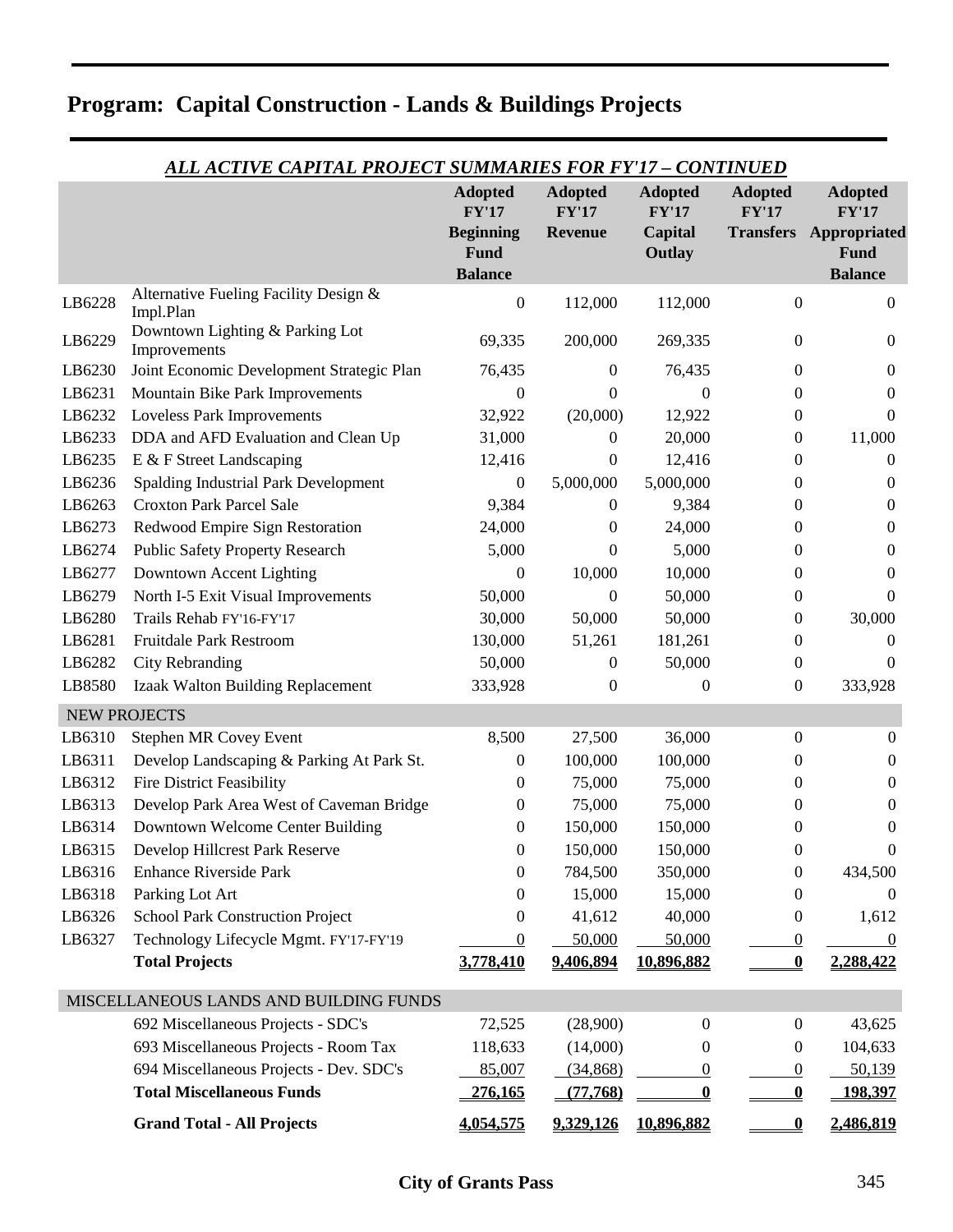| ALL ACTIVE CAPITAL PROJECT SUMMARIES FOR FY'17 - CONTINUED |                                                    |                                            |                                |                         |                         |                                                         |  |
|------------------------------------------------------------|----------------------------------------------------|--------------------------------------------|--------------------------------|-------------------------|-------------------------|---------------------------------------------------------|--|
|                                                            |                                                    | <b>Adopted</b><br>FY'17                    | <b>Adopted</b><br><b>FY'17</b> | <b>Adopted</b><br>FY'17 | <b>Adopted</b><br>FY'17 | <b>Adopted</b><br><b>FY'17</b>                          |  |
|                                                            |                                                    | <b>Beginning</b><br>Fund<br><b>Balance</b> | <b>Revenue</b>                 | Capital<br>Outlay       |                         | <b>Transfers Appropriated</b><br>Fund<br><b>Balance</b> |  |
| LB6228                                                     | Alternative Fueling Facility Design &<br>Impl.Plan | $\boldsymbol{0}$                           | 112,000                        | 112,000                 | $\boldsymbol{0}$        | $\boldsymbol{0}$                                        |  |
| LB6229                                                     | Downtown Lighting & Parking Lot<br>Improvements    | 69,335                                     | 200,000                        | 269,335                 | 0                       | $\boldsymbol{0}$                                        |  |
| LB6230                                                     | Joint Economic Development Strategic Plan          | 76,435                                     | $\overline{0}$                 | 76,435                  | 0                       | $\overline{0}$                                          |  |
| LB6231                                                     | Mountain Bike Park Improvements                    | 0                                          | $\Omega$                       | $\boldsymbol{0}$        | 0                       | $\overline{0}$                                          |  |
| LB6232                                                     | Loveless Park Improvements                         | 32,922                                     | (20,000)                       | 12,922                  | 0                       | $\mathbf{0}$                                            |  |
| LB6233                                                     | DDA and AFD Evaluation and Clean Up                | 31,000                                     | $\overline{0}$                 | 20,000                  | 0                       | 11,000                                                  |  |
| LB6235                                                     | E & F Street Landscaping                           | 12,416                                     | $\boldsymbol{0}$               | 12,416                  | 0                       | $\theta$                                                |  |
| LB6236                                                     | Spalding Industrial Park Development               | $\theta$                                   | 5,000,000                      | 5,000,000               | 0                       | $\theta$                                                |  |
| LB6263                                                     | <b>Croxton Park Parcel Sale</b>                    | 9,384                                      | 0                              | 9,384                   | 0                       | 0                                                       |  |
| LB6273                                                     | Redwood Empire Sign Restoration                    | 24,000                                     | 0                              | 24,000                  | 0                       | $\boldsymbol{0}$                                        |  |
| LB6274                                                     | <b>Public Safety Property Research</b>             | 5,000                                      | 0                              | 5,000                   | 0                       | 0                                                       |  |
| LB6277                                                     | Downtown Accent Lighting                           | $\theta$                                   | 10,000                         | 10,000                  | 0                       | 0                                                       |  |
| LB6279                                                     | North I-5 Exit Visual Improvements                 | 50,000                                     | $\boldsymbol{0}$               | 50,000                  | 0                       | $\Omega$                                                |  |
| LB6280                                                     | Trails Rehab FY'16-FY'17                           | 30,000                                     | 50,000                         | 50,000                  | 0                       | 30,000                                                  |  |
| LB6281                                                     | <b>Fruitdale Park Restroom</b>                     | 130,000                                    | 51,261                         | 181,261                 | 0                       | $\theta$                                                |  |
| LB6282                                                     | <b>City Rebranding</b>                             | 50,000                                     | $\overline{0}$                 | 50,000                  | 0                       | $\Omega$                                                |  |
| LB8580                                                     | Izaak Walton Building Replacement                  | 333,928                                    | $\boldsymbol{0}$               | $\boldsymbol{0}$        | $\boldsymbol{0}$        | 333,928                                                 |  |
|                                                            | <b>NEW PROJECTS</b>                                |                                            |                                |                         |                         |                                                         |  |
| LB6310                                                     | <b>Stephen MR Covey Event</b>                      | 8,500                                      | 27,500                         | 36,000                  | 0                       | $\boldsymbol{0}$                                        |  |
| LB6311                                                     | Develop Landscaping & Parking At Park St.          | 0                                          | 100,000                        | 100,000                 | 0                       | $\boldsymbol{0}$                                        |  |
| LB6312                                                     | <b>Fire District Feasibility</b>                   | 0                                          | 75,000                         | 75,000                  | 0                       | $\overline{0}$                                          |  |
| LB6313                                                     | Develop Park Area West of Caveman Bridge           | 0                                          | 75,000                         | 75,000                  | 0                       | $\boldsymbol{0}$                                        |  |
| LB6314                                                     | Downtown Welcome Center Building                   | 0                                          | 150,000                        | 150,000                 | 0                       | $\boldsymbol{0}$                                        |  |
| LB6315                                                     | Develop Hillcrest Park Reserve                     | 0                                          | 150,000                        | 150,000                 | 0                       | $\theta$                                                |  |
| LB6316                                                     | <b>Enhance Riverside Park</b>                      | 0                                          | 784,500                        | 350,000                 | 0                       | 434,500                                                 |  |
| LB6318                                                     | Parking Lot Art                                    | $\Omega$                                   | 15,000                         | 15,000                  | 0                       | $\theta$                                                |  |
| LB6326                                                     | <b>School Park Construction Project</b>            | 0                                          | 41,612                         | 40,000                  | 0                       | 1,612                                                   |  |
| LB6327                                                     | Technology Lifecycle Mgmt. FY'17-FY'19             | $\theta$                                   | 50,000                         | 50,000                  | $\bf{0}$                | $\theta$                                                |  |
|                                                            | <b>Total Projects</b>                              | 3,778,410                                  | 9,406,894                      | 10.896.882              | $\bf{0}$                | 2,288,422                                               |  |
|                                                            | MISCELLANEOUS LANDS AND BUILDING FUNDS             |                                            |                                |                         |                         |                                                         |  |
|                                                            | 692 Miscellaneous Projects - SDC's                 | 72,525                                     | (28,900)                       | $\overline{0}$          | 0                       | 43,625                                                  |  |
|                                                            | 693 Miscellaneous Projects - Room Tax              | 118,633                                    | (14,000)                       | $\Omega$                | 0                       | 104,633                                                 |  |
|                                                            | 694 Miscellaneous Projects - Dev. SDC's            | 85,007                                     | (34, 868)                      | $\theta$                | 0                       | 50,139                                                  |  |
|                                                            | <b>Total Miscellaneous Funds</b>                   | 276,165                                    | (77,768)                       | 0                       | 0                       | 198,397                                                 |  |
|                                                            | <b>Grand Total - All Projects</b>                  | <u>4,054,575</u>                           | <u>9,329,126</u>               | 10,896,882              |                         | 2,486,819                                               |  |